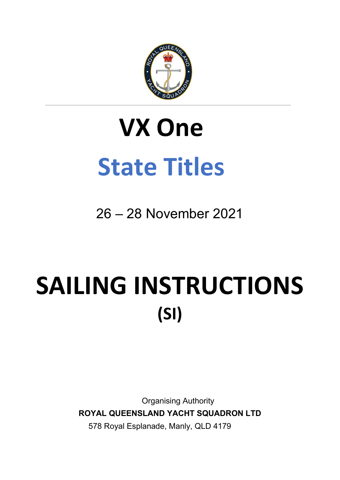

# **VX One State Titles**

26 – 28 November 2021

# SAILING INSTRUCTIONS **(SI)**

Organising Authority **ROYAL QUEENSLAND YACHT SQUADRON LTD** 578 Royal Esplanade, Manly, QLD 4179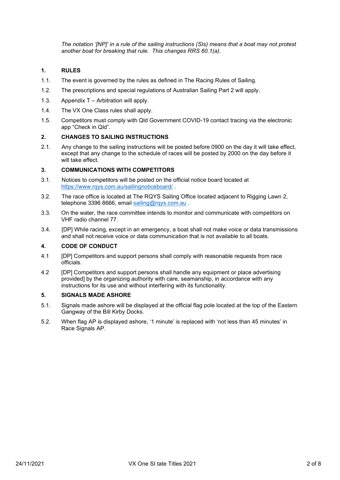*The notation '[NP]' in a rule of the sailing instructions (SIs) means that a boat may not protest another boat for breaking that rule. This changes RRS 60.1(a).* 

#### **1. RULES**

- 1.1. The event is governed by the rules as defined in The Racing Rules of Sailing.
- 1.2. The prescriptions and special regulations of Australian Sailing Part 2 will apply.
- 1.3. Appendix T Arbitration will apply.
- 1.4. The VX One Class rules shall apply.
- 1.5. Competitors must comply with Qld Government COVID-19 contact tracing via the electronic app "Check in Qld".

#### **2. CHANGES TO SAILING INSTRUCTIONS**

2.1. Any change to the sailing instructions will be posted before 0900 on the day it will take effect, except that any change to the schedule of races will be posted by 2000 on the day before it will take effect.

#### **3. COMMUNICATIONS WITH COMPETITORS**

- 3.1. Notices to competitors will be posted on the official notice board located at <https://www.rqys.com.au/sailingnoticeboard/> .
- 3.2. The race office is located at The RQYS Sailing Office located adjacent to Rigging Lawn 2, telephone 3396 8666, email [sailing@rqys.com.au](mailto:sailing@rqys.com.au).
- 3.3. On the water, the race committee intends to monitor and communicate with competitors on VHF radio channel 77.
- 3.4. [DP] While racing, except in an emergency, a boat shall not make voice or data transmissions and shall not receive voice or data communication that is not available to all boats.

#### **4. CODE OF CONDUCT**

- 4.1 [DP] Competitors and support persons shall comply with reasonable requests from race officials.
- 4.2 [DP] Competitors and support persons shall handle any equipment or place advertising provided] by the organizing authority with care, seamanship, in accordance with any instructions for its use and without interfering with its functionality.

#### **5. SIGNALS MADE ASHORE**

- 5.1. Signals made ashore will be displayed at the official flag pole located at the top of the Eastern Gangway of the Bill Kirby Docks.
- 5.2. When flag AP is displayed ashore, '1 minute' is replaced with 'not less than 45 minutes' in Race Signals AP.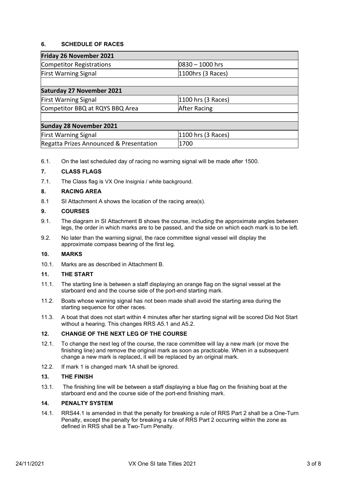#### **6. SCHEDULE OF RACES**

| Friday 26 November 2021                 |                         |  |
|-----------------------------------------|-------------------------|--|
| Competitor Registrations                | $ 0830 - 1000$ hrs      |  |
| <b>First Warning Signal</b>             | $ 1100$ hrs (3 Races)   |  |
|                                         |                         |  |
| <b>Saturday 27 November 2021</b>        |                         |  |
| <b>First Warning Signal</b>             | $ 1100$ hrs $(3$ Races) |  |
| Competitor BBQ at RQYS BBQ Area         | <b>After Racing</b>     |  |
|                                         |                         |  |
| <b>Sunday 28 November 2021</b>          |                         |  |
| <b>First Warning Signal</b>             | $ 1100$ hrs $(3$ Races) |  |
| Regatta Prizes Announced & Presentation | 1700                    |  |

6.1. On the last scheduled day of racing no warning signal will be made after 1500.

#### **7. CLASS FLAGS**

7.1. The Class flag is VX One Insignia / white background.

#### **8. RACING AREA**

8.1 SI Attachment A shows the location of the racing area(s).

#### **9. COURSES**

- 9.1. The diagram in SI Attachment B shows the course, including the approximate angles between legs, the order in which marks are to be passed, and the side on which each mark is to be left.
- 9.2. No later than the warning signal, the race committee signal vessel will display the approximate compass bearing of the first leg.

#### **10. MARKS**

10.1. Marks are as described in Attachment B.

#### **11. THE START**

- 11.1. The starting line is between a staff displaying an orange flag on the signal vessel at the starboard end and the course side of the port-end starting mark.
- 11.2. Boats whose warning signal has not been made shall avoid the starting area during the starting sequence for other races.
- 11.3. A boat that does not start within 4 minutes after her starting signal will be scored Did Not Start without a hearing. This changes RRS A5.1 and A5.2.

#### **12. CHANGE OF THE NEXT LEG OF THE COURSE**

- 12.1. To change the next leg of the course, the race committee will lay a new mark (or move the finishing line) and remove the original mark as soon as practicable. When in a subsequent change a new mark is replaced, it will be replaced by an original mark.
- 12.2. If mark 1 is changed mark 1A shall be ignored.

#### **13. THE FINISH**

13.1. The finishing line will be between a staff displaying a blue flag on the finishing boat at the starboard end and the course side of the port-end finishing mark.

#### **14. PENALTY SYSTEM**

14.1. RRS44.1 is amended in that the penalty for breaking a rule of RRS Part 2 shall be a One-Turn Penalty, except the penalty for breaking a rule of RRS Part 2 occurring within the zone as defined in RRS shall be a Two-Turn Penalty.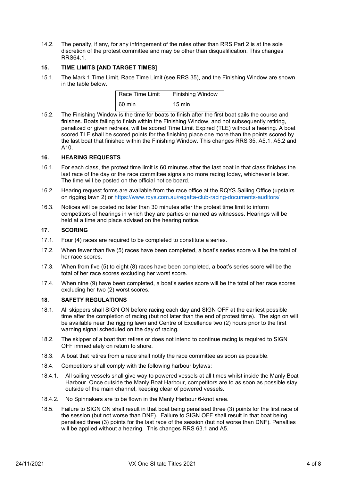14.2. The penalty, if any, for any infringement of the rules other than RRS Part 2 is at the sole discretion of the protest committee and may be other than disqualification. This changes RRS64.1.

#### **15. TIME LIMITS [AND TARGET TIMES]**

15.1. The Mark 1 Time Limit, Race Time Limit (see RRS 35), and the Finishing Window are shown in the table below.

| Race Time Limit | <b>Finishing Window</b> |
|-----------------|-------------------------|
| 60 min          | $15 \text{ min}$        |

15.2. The Finishing Window is the time for boats to finish after the first boat sails the course and finishes. Boats failing to finish within the Finishing Window, and not subsequently retiring, penalized or given redress, will be scored Time Limit Expired (TLE) without a hearing. A boat scored TLE shall be scored points for the finishing place one more than the points scored by the last boat that finished within the Finishing Window. This changes RRS 35, A5.1, A5.2 and A10.

#### **16. HEARING REQUESTS**

- 16.1. For each class, the protest time limit is 60 minutes after the last boat in that class finishes the last race of the day or the race committee signals no more racing today, whichever is later. The time will be posted on the official notice board.
- 16.2. Hearing request forms are available from the race office at the RQYS Sailing Office (upstairs on rigging lawn 2) or<https://www.rqys.com.au/regatta-club-racing-documents-auditors/>
- 16.3. Notices will be posted no later than 30 minutes after the protest time limit to inform competitors of hearings in which they are parties or named as witnesses. Hearings will be held at a time and place advised on the hearing notice.

#### **17. SCORING**

- 17.1. Four (4) races are required to be completed to constitute a series.
- 17.2. When fewer than five (5) races have been completed, a boat's series score will be the total of her race scores.
- 17.3. When from five (5) to eight (8) races have been completed, a boat's series score will be the total of her race scores excluding her worst score.
- 17.4. When nine (9) have been completed, a boat's series score will be the total of her race scores excluding her two (2) worst scores.

#### **18. SAFETY REGULATIONS**

- 18.1. All skippers shall SIGN ON before racing each day and SIGN OFF at the earliest possible time after the completion of racing (but not later than the end of protest time). The sign on will be available near the rigging lawn and Centre of Excellence two (2) hours prior to the first warning signal scheduled on the day of racing.
- 18.2. The skipper of a boat that retires or does not intend to continue racing is required to SIGN OFF immediately on return to shore.
- 18.3. A boat that retires from a race shall notify the race committee as soon as possible.
- 18.4. Competitors shall comply with the following harbour bylaws:
- 18.4.1. All sailing vessels shall give way to powered vessels at all times whilst inside the Manly Boat Harbour. Once outside the Manly Boat Harbour, competitors are to as soon as possible stay outside of the main channel, keeping clear of powered vessels.
- 18.4.2. No Spinnakers are to be flown in the Manly Harbour 6-knot area.
- 18.5. Failure to SIGN ON shall result in that boat being penalised three (3) points for the first race of the session (but not worse than DNF). Failure to SIGN OFF shall result in that boat being penalised three (3) points for the last race of the session (but not worse than DNF). Penalties will be applied without a hearing. This changes RRS 63.1 and A5.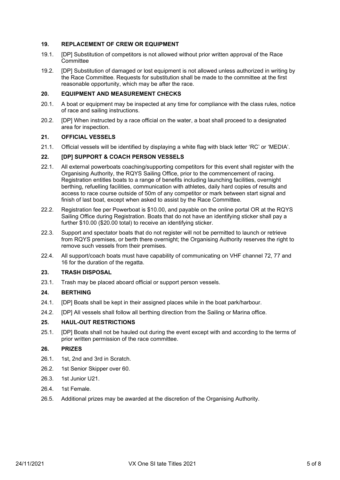#### **19. REPLACEMENT OF CREW OR EQUIPMENT**

- 19.1. [DP] Substitution of competitors is not allowed without prior written approval of the Race Committee
- 19.2. [DP] Substitution of damaged or lost equipment is not allowed unless authorized in writing by the Race Committee. Requests for substitution shall be made to the committee at the first reasonable opportunity, which may be after the race.

#### **20. EQUIPMENT AND MEASUREMENT CHECKS**

- 20.1. A boat or equipment may be inspected at any time for compliance with the class rules, notice of race and sailing instructions.
- 20.2. [DP] When instructed by a race official on the water, a boat shall proceed to a designated area for inspection.

#### **21. OFFICIAL VESSELS**

21.1. Official vessels will be identified by displaying a white flag with black letter 'RC' or 'MEDIA'.

#### **22. [DP] SUPPORT & COACH PERSON VESSELS**

- 22.1. All external powerboats coaching/supporting competitors for this event shall register with the Organising Authority, the RQYS Sailing Office, prior to the commencement of racing. Registration entitles boats to a range of benefits including launching facilities, overnight berthing, refuelling facilities, communication with athletes, daily hard copies of results and access to race course outside of 50m of any competitor or mark between start signal and finish of last boat, except when asked to assist by the Race Committee.
- 22.2. Registration fee per Powerboat is \$10.00, and payable on the online portal OR at the ROYS Sailing Office during Registration. Boats that do not have an identifying sticker shall pay a further \$10.00 (\$20.00 total) to receive an identifying sticker.
- 22.3. Support and spectator boats that do not register will not be permitted to launch or retrieve from RQYS premises, or berth there overnight; the Organising Authority reserves the right to remove such vessels from their premises.
- 22.4. All support/coach boats must have capability of communicating on VHF channel 72, 77 and 16 for the duration of the regatta.

#### **23. TRASH DISPOSAL**

23.1. Trash may be placed aboard official or support person vessels.

#### **24. BERTHING**

- 24.1. [DP] Boats shall be kept in their assigned places while in the boat park/harbour.
- 24.2. [DP] All vessels shall follow all berthing direction from the Sailing or Marina office.

#### **25. HAUL-OUT RESTRICTIONS**

25.1. [DP] Boats shall not be hauled out during the event except with and according to the terms of prior written permission of the race committee.

#### **26. PRIZES**

- 26.1. 1st, 2nd and 3rd in Scratch.
- 26.2. 1st Senior Skipper over 60.
- 26.3. 1st Junior U21.
- 26.4. 1st Female.
- 26.5. Additional prizes may be awarded at the discretion of the Organising Authority.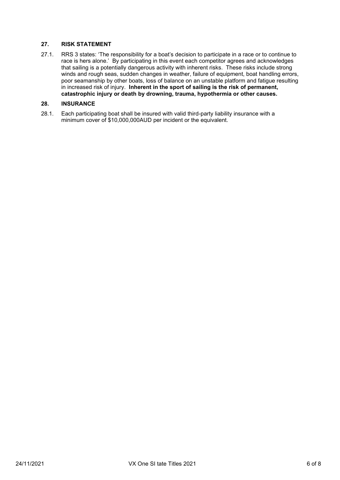#### **27. RISK STATEMENT**

27.1. RRS 3 states: 'The responsibility for a boat's decision to participate in a race or to continue to race is hers alone.' By participating in this event each competitor agrees and acknowledges that sailing is a potentially dangerous activity with inherent risks. These risks include strong winds and rough seas, sudden changes in weather, failure of equipment, boat handling errors, poor seamanship by other boats, loss of balance on an unstable platform and fatigue resulting in increased risk of injury. **Inherent in the sport of sailing is the risk of permanent, catastrophic injury or death by drowning, trauma, hypothermia or other causes.**

#### **28. INSURANCE**

28.1. Each participating boat shall be insured with valid third-party liability insurance with a minimum cover of \$10,000,000AUD per incident or the equivalent.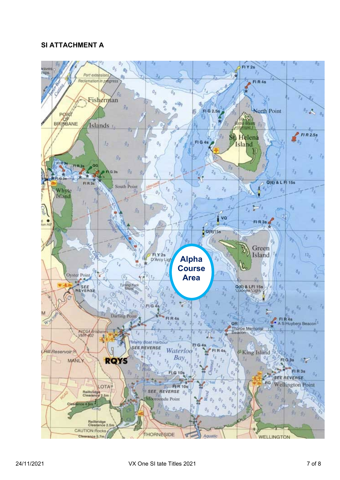### **SI ATTACHMENT A**